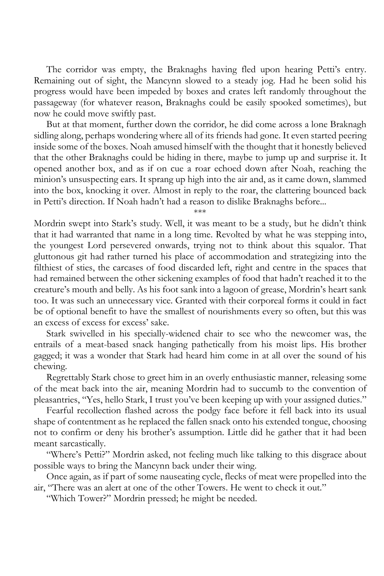The corridor was empty, the Braknaghs having fled upon hearing Petti's entry. Remaining out of sight, the Mancynn slowed to a steady jog. Had he been solid his progress would have been impeded by boxes and crates left randomly throughout the passageway (for whatever reason, Braknaghs could be easily spooked sometimes), but now he could move swiftly past.

But at that moment, further down the corridor, he did come across a lone Braknagh sidling along, perhaps wondering where all of its friends had gone. It even started peering inside some of the boxes. Noah amused himself with the thought that it honestly believed that the other Braknaghs could be hiding in there, maybe to jump up and surprise it. It opened another box, and as if on cue a roar echoed down after Noah, reaching the minion's unsuspecting ears. It sprang up high into the air and, as it came down, slammed into the box, knocking it over. Almost in reply to the roar, the clattering bounced back in Petti's direction. If Noah hadn't had a reason to dislike Braknaghs before...

\*\*\*

Mordrin swept into Stark's study. Well, it was meant to be a study, but he didn't think that it had warranted that name in a long time. Revolted by what he was stepping into, the youngest Lord persevered onwards, trying not to think about this squalor. That gluttonous git had rather turned his place of accommodation and strategizing into the filthiest of sties, the carcases of food discarded left, right and centre in the spaces that had remained between the other sickening examples of food that hadn't reached it to the creature's mouth and belly. As his foot sank into a lagoon of grease, Mordrin's heart sank too. It was such an unnecessary vice. Granted with their corporeal forms it could in fact be of optional benefit to have the smallest of nourishments every so often, but this was an excess of excess for excess' sake.

Stark swivelled in his specially-widened chair to see who the newcomer was, the entrails of a meat-based snack hanging pathetically from his moist lips. His brother gagged; it was a wonder that Stark had heard him come in at all over the sound of his chewing.

Regrettably Stark chose to greet him in an overly enthusiastic manner, releasing some of the meat back into the air, meaning Mordrin had to succumb to the convention of pleasantries, "Yes, hello Stark, I trust you've been keeping up with your assigned duties."

Fearful recollection flashed across the podgy face before it fell back into its usual shape of contentment as he replaced the fallen snack onto his extended tongue, choosing not to confirm or deny his brother's assumption. Little did he gather that it had been meant sarcastically.

"Where's Petti?" Mordrin asked, not feeling much like talking to this disgrace about possible ways to bring the Mancynn back under their wing.

Once again, as if part of some nauseating cycle, flecks of meat were propelled into the air, "There was an alert at one of the other Towers. He went to check it out."

"Which Tower?" Mordrin pressed; he might be needed.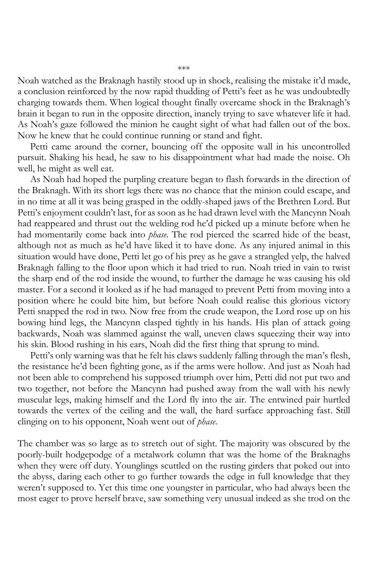Noah watched as the Braknagh hastily stood up in shock, realising the mistake it'd made, a conclusion reinforced by the now rapid thudding of Petti's feet as he was undoubtedly charging towards them. When logical thought finally overcame shock in the Braknagh's brain it began to run in the opposite direction, inanely trying to save whatever life it had. As Noah's gaze followed the minion he caught sight of what had fallen out of the box. Now he knew that he could continue running or stand and fight.

Petti came around the corner, bouncing off the opposite wall in his uncontrolled pursuit. Shaking his head, he saw to his disappointment what had made the noise. Oh well, he might as well eat.

As Noah had hoped the purpling creature began to flash forwards in the direction of the Braknagh. With its short legs there was no chance that the minion could escape, and in no time at all it was being grasped in the oddly-shaped jaws of the Brethren Lord. But Petti's enjoyment couldn't last, for as soon as he had drawn level with the Mancynn Noah had reappeared and thrust out the welding rod he'd picked up a minute before when he had momentarily come back into *phase*. The rod pierced the scarred hide of the beast, although not as much as he'd have liked it to have done. As any injured animal in this situation would have done, Petti let go of his prey as he gave a strangled yelp, the halved Braknagh falling to the floor upon which it had tried to run. Noah tried in vain to twist the sharp end of the rod inside the wound, to further the damage he was causing his old master. For a second it looked as if he had managed to prevent Petti from moving into a position where he could bite him, but before Noah could realise this glorious victory Petti snapped the rod in two. Now free from the crude weapon, the Lord rose up on his bowing hind legs, the Mancynn clasped tightly in his hands. His plan of attack going backwards, Noah was slammed against the wall, uneven claws squeezing their way into his skin. Blood rushing in his ears, Noah did the first thing that sprung to mind.

Petti's only warning was that he felt his claws suddenly falling through the man's flesh, the resistance he'd been fighting gone, as if the arms were hollow. And just as Noah had not been able to comprehend his supposed triumph over him, Petti did not put two and two together, not before the Mancynn had pushed away from the wall with his newly muscular legs, making himself and the Lord fly into the air. The entwined pair hurtled towards the vertex of the ceiling and the wall, the hard surface approaching fast. Still clinging on to his opponent, Noah went out of *phase*.

The chamber was so large as to stretch out of sight. The majority was obscured by the poorly-built hodgepodge of a metalwork column that was the home of the Braknaghs when they were off duty. Younglings scuttled on the rusting girders that poked out into the abyss, daring each other to go further towards the edge in full knowledge that they weren't supposed to. Yet this time one youngster in particular, who had always been the most eager to prove herself brave, saw something very unusual indeed as she trod on the